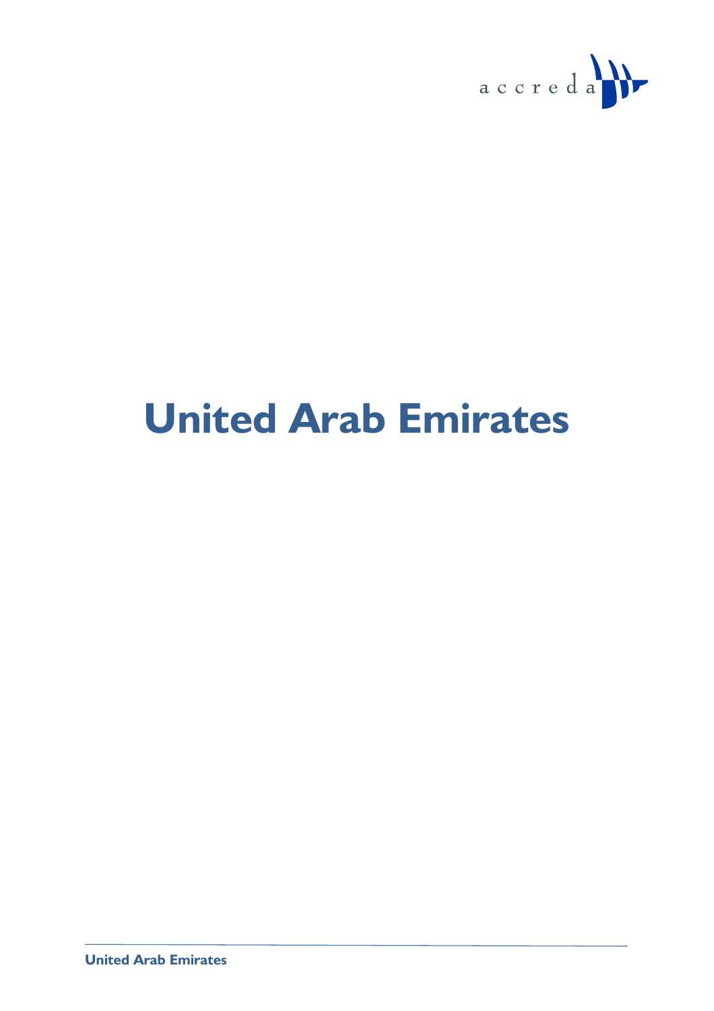

# **United Arab Emirates**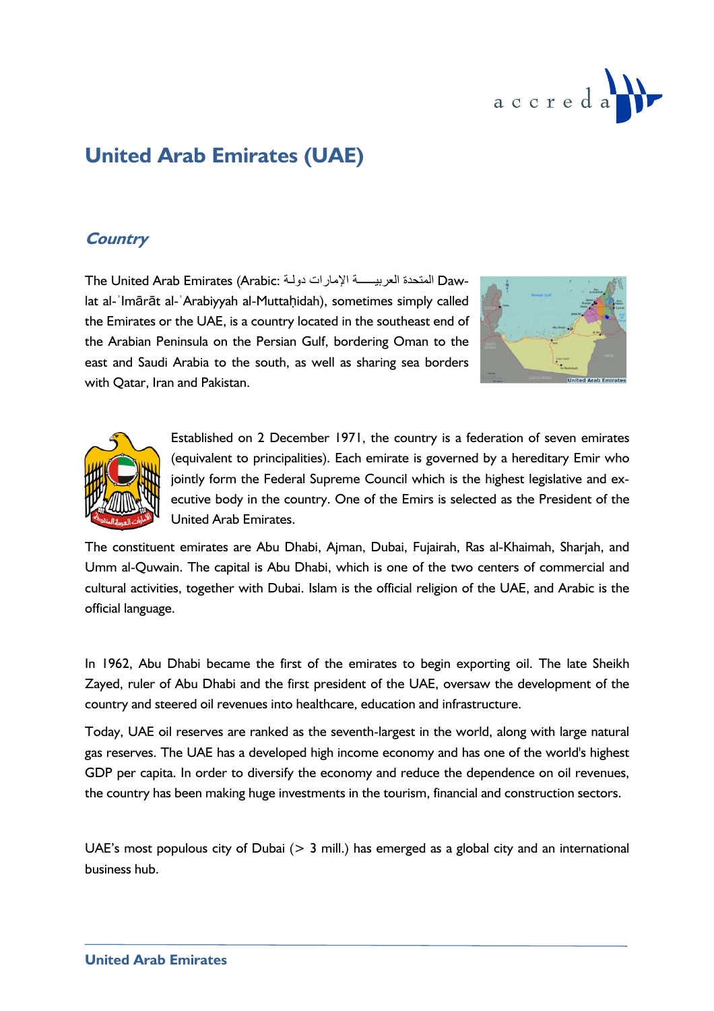

## **United Arab Emirates (UAE)**

## **Country**

The United Arab Emirates (Arabic: المتحدة العربيـــــة الإمارات دولـة Dawlat al-ʾImārāt al-ʿArabiyyah al-Muttaḥidah), sometimes simply called the Emirates or the UAE, is a country located in the southeast end of the Arabian Peninsula on the Persian Gulf, bordering Oman to the east and Saudi Arabia to the south, as well as sharing sea borders with Qatar, Iran and Pakistan.





Established on 2 December 1971, the country is a federation of seven emirates (equivalent to principalities). Each emirate is governed by a hereditary Emir who jointly form the Federal Supreme Council which is the highest legislative and executive body in the country. One of the Emirs is selected as the President of the United Arab Emirates.

The constituent emirates are Abu Dhabi, Ajman, Dubai, Fujairah, Ras al-Khaimah, Sharjah, and Umm al-Quwain. The capital is Abu Dhabi, which is one of the two centers of commercial and cultural activities, together with Dubai. Islam is the official religion of the UAE, and Arabic is the official language.

In 1962, Abu Dhabi became the first of the emirates to begin exporting oil. The late Sheikh Zayed, ruler of Abu Dhabi and the first president of the UAE, oversaw the development of the country and steered oil revenues into healthcare, education and infrastructure.

Today, UAE oil reserves are ranked as the seventh-largest in the world, along with large natural gas reserves. The UAE has a developed high income economy and has one of the world's highest GDP per capita. In order to diversify the economy and reduce the dependence on oil revenues, the country has been making huge investments in the tourism, financial and construction sectors.

UAE's most populous city of Dubai  $(> 3$  mill.) has emerged as a global city and an international business hub.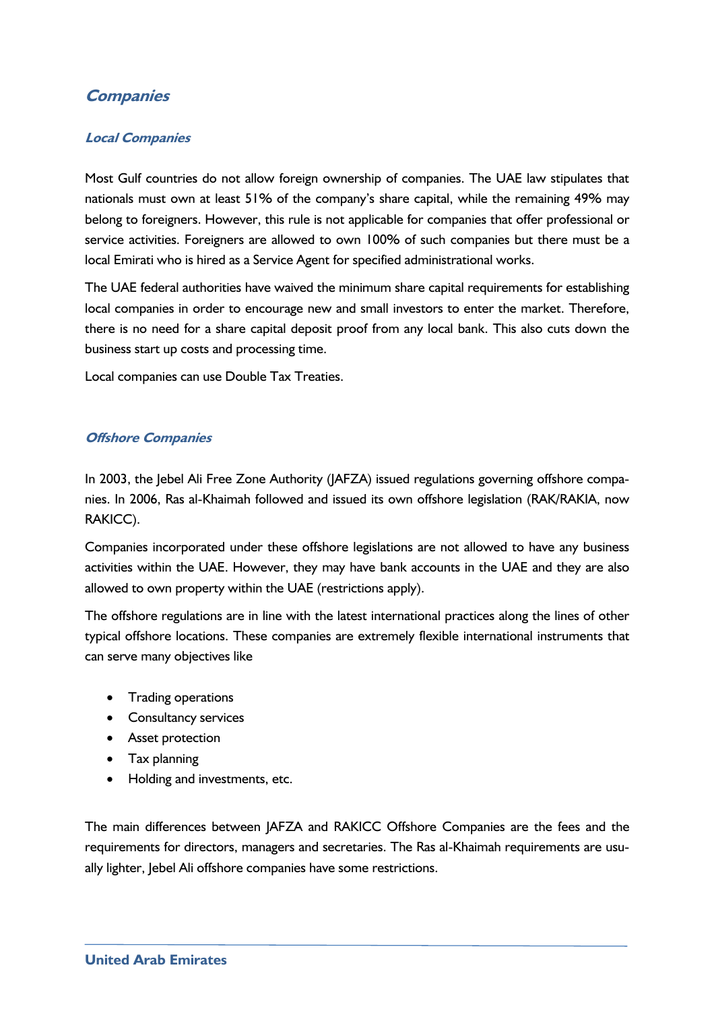## **Companies**

#### **Local Companies**

Most Gulf countries do not allow foreign ownership of companies. The UAE law stipulates that nationals must own at least 51% of the company's share capital, while the remaining 49% may belong to foreigners. However, this rule is not applicable for companies that offer professional or service activities. Foreigners are allowed to own 100% of such companies but there must be a local Emirati who is hired as a Service Agent for specified administrational works.

The UAE federal authorities have waived the minimum share capital requirements for establishing local companies in order to encourage new and small investors to enter the market. Therefore, there is no need for a share capital deposit proof from any local bank. This also cuts down the business start up costs and processing time.

Local companies can use Double Tax Treaties.

#### **Offshore Companies**

In 2003, the Jebel Ali Free Zone Authority (JAFZA) issued regulations governing offshore companies. In 2006, Ras al-Khaimah followed and issued its own offshore legislation (RAK/RAKIA, now RAKICC).

Companies incorporated under these offshore legislations are not allowed to have any business activities within the UAE. However, they may have bank accounts in the UAE and they are also allowed to own property within the UAE (restrictions apply).

The offshore regulations are in line with the latest international practices along the lines of other typical offshore locations. These companies are extremely flexible international instruments that can serve many objectives like

- Trading operations
- Consultancy services
- Asset protection
- Tax planning
- Holding and investments, etc.

The main differences between JAFZA and RAKICC Offshore Companies are the fees and the requirements for directors, managers and secretaries. The Ras al-Khaimah requirements are usually lighter, Jebel Ali offshore companies have some restrictions.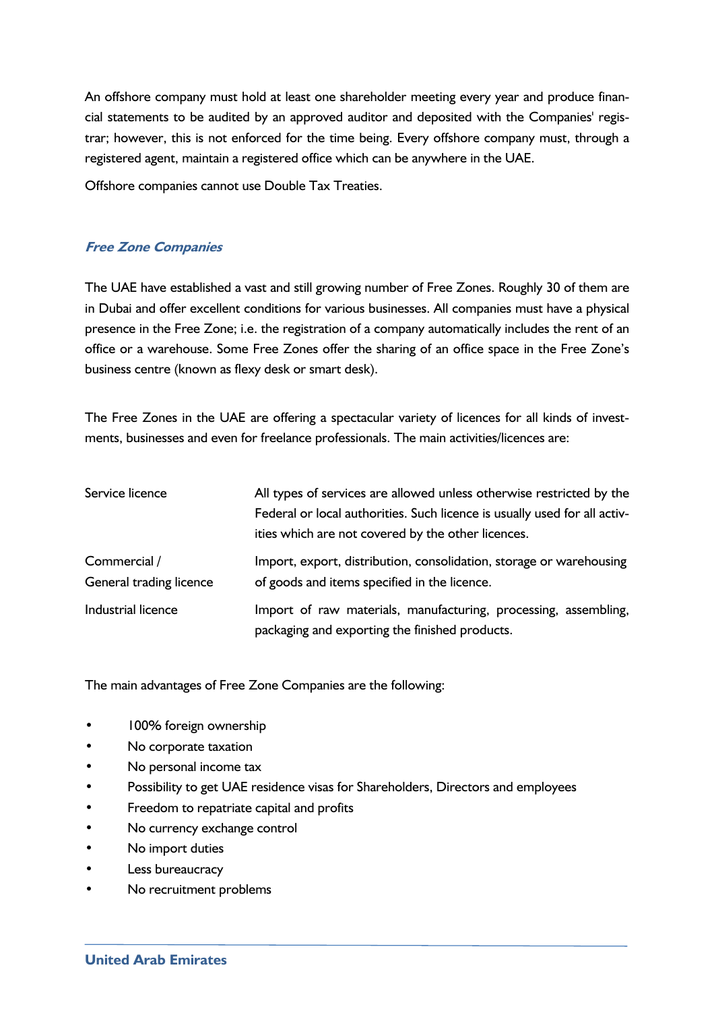An offshore company must hold at least one shareholder meeting every year and produce financial statements to be audited by an approved auditor and deposited with the Companies' registrar; however, this is not enforced for the time being. Every offshore company must, through a registered agent, maintain a registered office which can be anywhere in the UAE.

Offshore companies cannot use Double Tax Treaties.

#### **Free Zone Companies**

The UAE have established a vast and still growing number of Free Zones. Roughly 30 of them are in Dubai and offer excellent conditions for various businesses. All companies must have a physical presence in the Free Zone; i.e. the registration of a company automatically includes the rent of an office or a warehouse. Some Free Zones offer the sharing of an office space in the Free Zone's business centre (known as flexy desk or smart desk).

The Free Zones in the UAE are offering a spectacular variety of licences for all kinds of investments, businesses and even for freelance professionals. The main activities/licences are:

| Service licence                         | All types of services are allowed unless otherwise restricted by the                                                |  |
|-----------------------------------------|---------------------------------------------------------------------------------------------------------------------|--|
|                                         | Federal or local authorities. Such licence is usually used for all activ-                                           |  |
|                                         | ities which are not covered by the other licences.                                                                  |  |
| Commercial /<br>General trading licence | Import, export, distribution, consolidation, storage or warehousing<br>of goods and items specified in the licence. |  |
| Industrial licence                      | Import of raw materials, manufacturing, processing, assembling,<br>packaging and exporting the finished products.   |  |

The main advantages of Free Zone Companies are the following:

- 100% foreign ownership
- No corporate taxation
- No personal income tax
- Possibility to get UAE residence visas for Shareholders, Directors and employees
- Freedom to repatriate capital and profits
- No currency exchange control
- No import duties
- Less bureaucracy
- No recruitment problems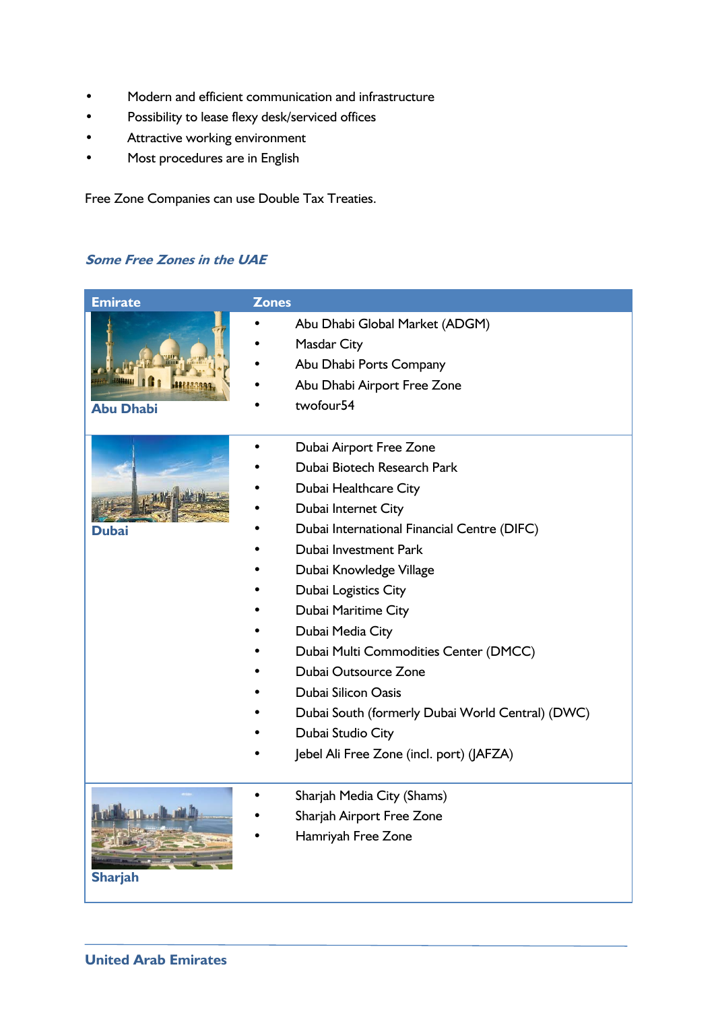- Modern and efficient communication and infrastructure
- Possibility to lease flexy desk/serviced offices
- Attractive working environment
- Most procedures are in English

Free Zone Companies can use Double Tax Treaties.

### **Some Free Zones in the UAE**

| <b>Emirate</b>   | <b>Zones</b>                                     |
|------------------|--------------------------------------------------|
|                  | Abu Dhabi Global Market (ADGM)                   |
| <b>Abu Dhabi</b> | Masdar City                                      |
|                  | Abu Dhabi Ports Company                          |
|                  | Abu Dhabi Airport Free Zone                      |
|                  | twofour <sub>54</sub>                            |
|                  |                                                  |
|                  | Dubai Airport Free Zone                          |
|                  | Dubai Biotech Research Park                      |
|                  | Dubai Healthcare City                            |
|                  | Dubai Internet City                              |
| Dubai            | Dubai International Financial Centre (DIFC)      |
|                  | Dubai Investment Park                            |
|                  | Dubai Knowledge Village                          |
|                  | Dubai Logistics City                             |
|                  | Dubai Maritime City                              |
|                  | Dubai Media City                                 |
|                  | Dubai Multi Commodities Center (DMCC)            |
|                  | Dubai Outsource Zone                             |
|                  | Dubai Silicon Oasis                              |
|                  | Dubai South (formerly Dubai World Central) (DWC) |
|                  | Dubai Studio City                                |
|                  | Jebel Ali Free Zone (incl. port) (JAFZA)         |
|                  | Sharjah Media City (Shams)                       |
|                  | Sharjah Airport Free Zone                        |
|                  | Hamriyah Free Zone                               |
|                  |                                                  |
| <b>Sharjah</b>   |                                                  |
|                  |                                                  |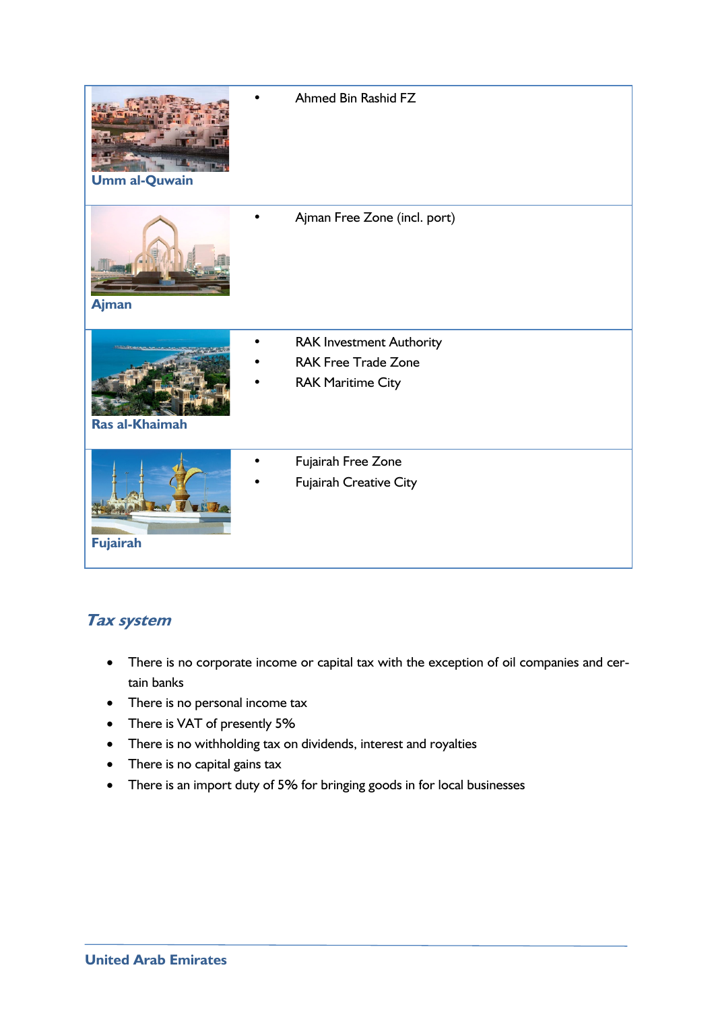| <b>Umm al-Quwain</b> | Ahmed Bin Rashid FZ                                                                       |
|----------------------|-------------------------------------------------------------------------------------------|
| <b>Ajman</b>         | Ajman Free Zone (incl. port)                                                              |
| Ras al-Khaimah       | <b>RAK Investment Authority</b><br><b>RAK Free Trade Zone</b><br><b>RAK Maritime City</b> |
| <b>Fujairah</b>      | Fujairah Free Zone<br>Fujairah Creative City                                              |

## **Tax system**

- There is no corporate income or capital tax with the exception of oil companies and certain banks
- There is no personal income tax
- There is VAT of presently 5%
- There is no withholding tax on dividends, interest and royalties
- There is no capital gains tax
- There is an import duty of 5% for bringing goods in for local businesses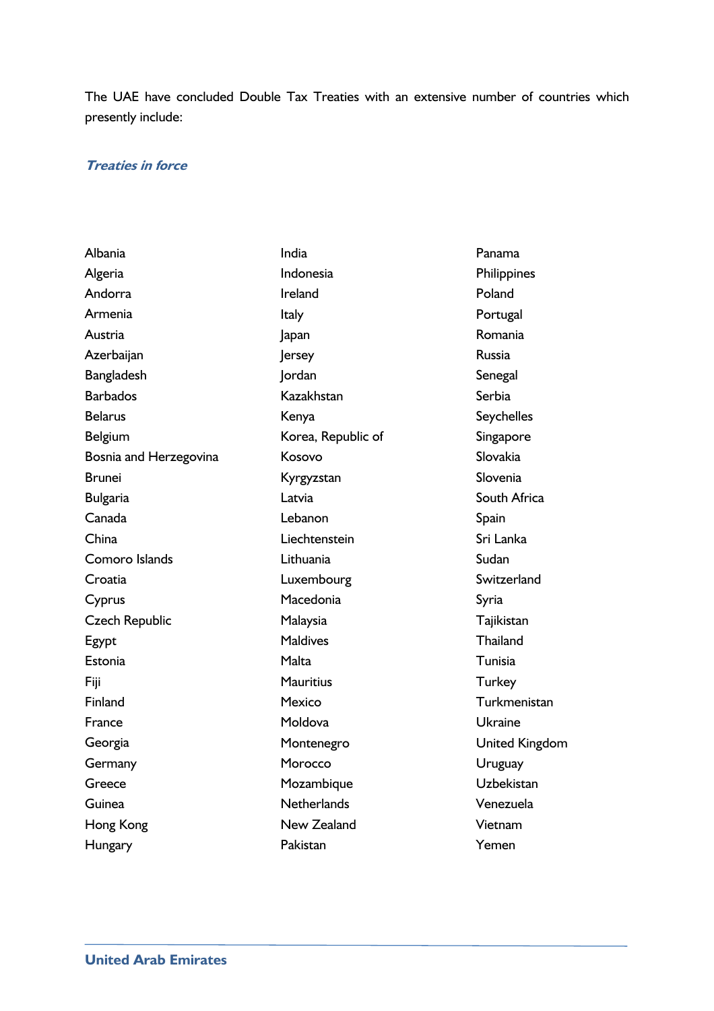The UAE have concluded Double Tax Treaties with an extensive number of countries which presently include:

#### **Treaties in force**

| Albania                | India              | Panama            |
|------------------------|--------------------|-------------------|
| Algeria                | Indonesia          | Philippines       |
| Andorra                | Ireland            | Poland            |
| Armenia                | Italy              | Portugal          |
| Austria                | Japan              | Romania           |
| Azerbaijan             | <b>Jersey</b>      | Russia            |
| Bangladesh             | Jordan             | Senegal           |
| <b>Barbados</b>        | Kazakhstan         | Serbia            |
| <b>Belarus</b>         | Kenya              | <b>Seychelles</b> |
| <b>Belgium</b>         | Korea, Republic of | Singapore         |
| Bosnia and Herzegovina | Kosovo             | Slovakia          |
| Brunei                 | Kyrgyzstan         | Slovenia          |
| <b>Bulgaria</b>        | Latvia             | South Africa      |
| Canada                 | Lebanon            | Spain             |
| China                  | Liechtenstein      | Sri Lanka         |
| Comoro Islands         | Lithuania          | Sudan             |
| Croatia                | Luxembourg         | Switzerland       |
| Cyprus                 | Macedonia          | Syria             |
| <b>Czech Republic</b>  | Malaysia           | Tajikistan        |
| Egypt                  | <b>Maldives</b>    | Thailand          |
| Estonia                | Malta              | Tunisia           |
| Fiji                   | <b>Mauritius</b>   | <b>Turkey</b>     |
| Finland                | Mexico             | Turkmenistan      |
| France                 | Moldova            | <b>Ukraine</b>    |
| Georgia                | Montenegro         | United Kingdom    |
| Germany                | Morocco            | Uruguay           |
| Greece                 | Mozambique         | Uzbekistan        |
| Guinea                 | <b>Netherlands</b> | Venezuela         |
| Hong Kong              | New Zealand        | Vietnam           |
| Hungary                | Pakistan           | Yemen             |